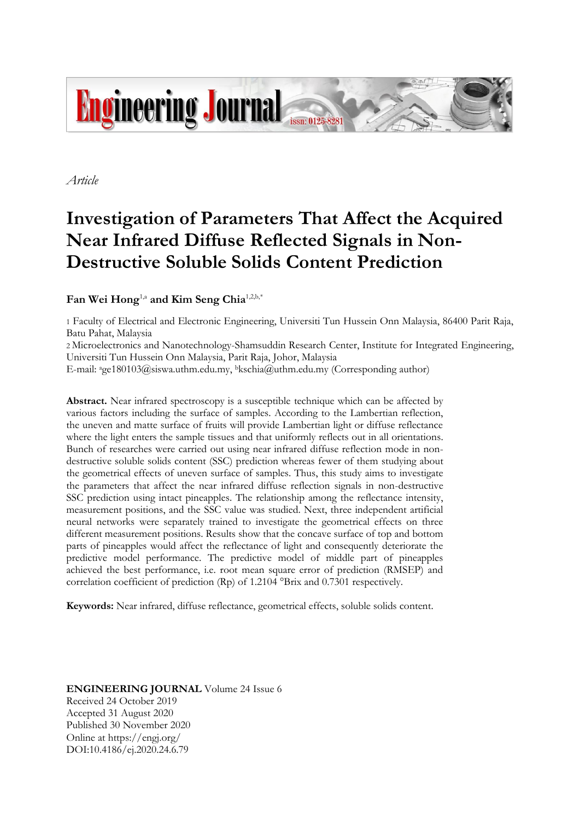

*Article*

# **Investigation of Parameters That Affect the Acquired Near Infrared Diffuse Reflected Signals in Non-Destructive Soluble Solids Content Prediction**

# **Fan Wei Hong**1,a **and Kim Seng Chia**1,2,b,\*

1 Faculty of Electrical and Electronic Engineering, Universiti Tun Hussein Onn Malaysia, 86400 Parit Raja, Batu Pahat, Malaysia

2 Microelectronics and Nanotechnology-Shamsuddin Research Center, Institute for Integrated Engineering, Universiti Tun Hussein Onn Malaysia, Parit Raja, Johor, Malaysia

E-mail: age180103@siswa.uthm.edu.my, <sup>b</sup>kschia@uthm.edu.my (Corresponding author)

**Abstract.** Near infrared spectroscopy is a susceptible technique which can be affected by various factors including the surface of samples. According to the Lambertian reflection, the uneven and matte surface of fruits will provide Lambertian light or diffuse reflectance where the light enters the sample tissues and that uniformly reflects out in all orientations. Bunch of researches were carried out using near infrared diffuse reflection mode in nondestructive soluble solids content (SSC) prediction whereas fewer of them studying about the geometrical effects of uneven surface of samples. Thus, this study aims to investigate the parameters that affect the near infrared diffuse reflection signals in non-destructive SSC prediction using intact pineapples. The relationship among the reflectance intensity, measurement positions, and the SSC value was studied. Next, three independent artificial neural networks were separately trained to investigate the geometrical effects on three different measurement positions. Results show that the concave surface of top and bottom parts of pineapples would affect the reflectance of light and consequently deteriorate the predictive model performance. The predictive model of middle part of pineapples achieved the best performance, i.e. root mean square error of prediction (RMSEP) and correlation coefficient of prediction (Rp) of 1.2104 °Brix and 0.7301 respectively.

**Keywords:** Near infrared, diffuse reflectance, geometrical effects, soluble solids content.

**ENGINEERING JOURNAL** Volume 24 Issue 6 Received 24 October 2019 Accepted 31 August 2020 Published 30 November 2020 Online at https://engj.org/ DOI:10.4186/ej.2020.24.6.79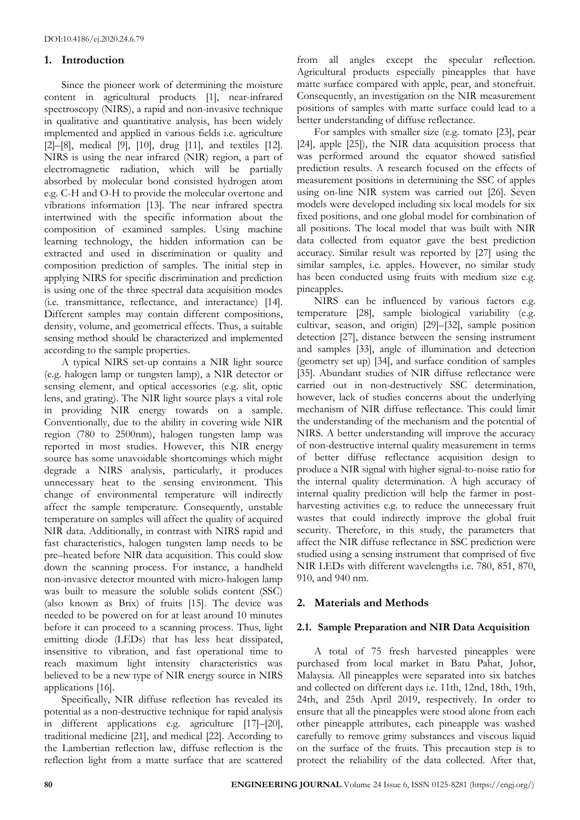# **1. Introduction**

Since the pioneer work of determining the moisture content in agricultural products [1], near-infrared spectroscopy (NIRS), a rapid and non-invasive technique in qualitative and quantitative analysis, has been widely implemented and applied in various fields i.e. agriculture [2]–[8], medical [9], [10], drug [11], and textiles [12]. NIRS is using the near infrared (NIR) region, a part of electromagnetic radiation, which will be partially absorbed by molecular bond consisted hydrogen atom e.g. C-H and O-H to provide the molecular overtone and vibrations information [13]. The near infrared spectra intertwined with the specific information about the composition of examined samples. Using machine learning technology, the hidden information can be extracted and used in discrimination or quality and composition prediction of samples. The initial step in applying NIRS for specific discrimination and prediction is using one of the three spectral data acquisition modes (i.e. transmittance, reflectance, and interactance) [14]. Different samples may contain different compositions, density, volume, and geometrical effects. Thus, a suitable sensing method should be characterized and implemented according to the sample properties.

A typical NIRS set-up contains a NIR light source (e.g. halogen lamp or tungsten lamp), a NIR detector or sensing element, and optical accessories (e.g. slit, optic lens, and grating). The NIR light source plays a vital role in providing NIR energy towards on a sample. Conventionally, due to the ability in covering wide NIR region (780 to 2500nm), halogen tungsten lamp was reported in most studies. However, this NIR energy source has some unavoidable shortcomings which might degrade a NIRS analysis, particularly, it produces unnecessary heat to the sensing environment. This change of environmental temperature will indirectly affect the sample temperature. Consequently, unstable temperature on samples will affect the quality of acquired NIR data. Additionally, in contrast with NIRS rapid and fast characteristics, halogen tungsten lamp needs to be pre–heated before NIR data acquisition. This could slow down the scanning process. For instance, a handheld non-invasive detector mounted with micro-halogen lamp was built to measure the soluble solids content (SSC) (also known as Brix) of fruits [15]. The device was needed to be powered on for at least around 10 minutes before it can proceed to a scanning process. Thus, light emitting diode (LEDs) that has less heat dissipated, insensitive to vibration, and fast operational time to reach maximum light intensity characteristics was believed to be a new type of NIR energy source in NIRS applications [16].

Specifically, NIR diffuse reflection has revealed its potential as a non-destructive technique for rapid analysis in different applications e.g. agriculture [17]–[20], traditional medicine [21], and medical [22]. According to the Lambertian reflection law, diffuse reflection is the reflection light from a matte surface that are scattered from all angles except the specular reflection. Agricultural products especially pineapples that have matte surface compared with apple, pear, and stonefruit. Consequently, an investigation on the NIR measurement positions of samples with matte surface could lead to a better understanding of diffuse reflectance.

For samples with smaller size (e.g. tomato [23], pear [24], apple [25]), the NIR data acquisition process that was performed around the equator showed satisfied prediction results. A research focused on the effects of measurement positions in determining the SSC of apples using on-line NIR system was carried out [26]. Seven models were developed including six local models for six fixed positions, and one global model for combination of all positions. The local model that was built with NIR data collected from equator gave the best prediction accuracy. Similar result was reported by [27] using the similar samples, i.e. apples. However, no similar study has been conducted using fruits with medium size e.g. pineapples.

NIRS can be influenced by various factors e.g. temperature [28], sample biological variability (e.g. cultivar, season, and origin) [29]–[32], sample position detection [27], distance between the sensing instrument and samples [33], angle of illumination and detection (geometry set up) [34], and surface condition of samples [35]. Abundant studies of NIR diffuse reflectance were carried out in non-destructively SSC determination, however, lack of studies concerns about the underlying mechanism of NIR diffuse reflectance. This could limit the understanding of the mechanism and the potential of NIRS. A better understanding will improve the accuracy of non-destructive internal quality measurement in terms of better diffuse reflectance acquisition design to produce a NIR signal with higher signal-to-noise ratio for the internal quality determination. A high accuracy of internal quality prediction will help the farmer in postharvesting activities e.g. to reduce the unnecessary fruit wastes that could indirectly improve the global fruit security. Therefore, in this study, the parameters that affect the NIR diffuse reflectance in SSC prediction were studied using a sensing instrument that comprised of five NIR LEDs with different wavelengths i.e. 780, 851, 870, 910, and 940 nm.

# **2. Materials and Methods**

# **2.1. Sample Preparation and NIR Data Acquisition**

A total of 75 fresh harvested pineapples were purchased from local market in Batu Pahat, Johor, Malaysia. All pineapples were separated into six batches and collected on different days i.e. 11th, 12nd, 18th, 19th, 24th, and 25th April 2019, respectively. In order to ensure that all the pineapples were stood alone from each other pineapple attributes, each pineapple was washed carefully to remove grimy substances and viscous liquid on the surface of the fruits. This precaution step is to protect the reliability of the data collected. After that,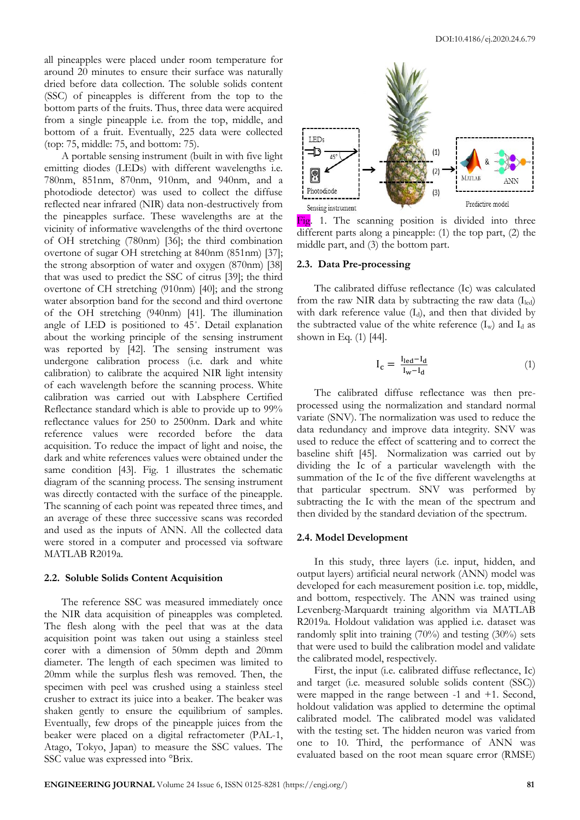all pineapples were placed under room temperature for around 20 minutes to ensure their surface was naturally dried before data collection. The soluble solids content (SSC) of pineapples is different from the top to the bottom parts of the fruits. Thus, three data were acquired from a single pineapple i.e. from the top, middle, and bottom of a fruit. Eventually, 225 data were collected (top: 75, middle: 75, and bottom: 75).

A portable sensing instrument (built in with five light emitting diodes (LEDs) with different wavelengths i.e. 780nm, 851nm, 870nm, 910nm, and 940nm, and a photodiode detector) was used to collect the diffuse reflected near infrared (NIR) data non-destructively from the pineapples surface. These wavelengths are at the vicinity of informative wavelengths of the third overtone of OH stretching (780nm) [36]; the third combination overtone of sugar OH stretching at 840nm (851nm) [37]; the strong absorption of water and oxygen (870nm) [38] that was used to predict the SSC of citrus [39]; the third overtone of CH stretching (910nm) [40]; and the strong water absorption band for the second and third overtone of the OH stretching (940nm) [41]. The illumination angle of LED is positioned to 45˚. Detail explanation about the working principle of the sensing instrument was reported by [42]. The sensing instrument was undergone calibration process (i.e. dark and white calibration) to calibrate the acquired NIR light intensity of each wavelength before the scanning process. White calibration was carried out with Labsphere Certified Reflectance standard which is able to provide up to 99% reflectance values for 250 to 2500nm. Dark and white reference values were recorded before the data acquisition. To reduce the impact of light and noise, the dark and white references values were obtained under the same condition [43]. Fig. 1 illustrates the schematic diagram of the scanning process. The sensing instrument was directly contacted with the surface of the pineapple. The scanning of each point was repeated three times, and an average of these three successive scans was recorded and used as the inputs of ANN. All the collected data were stored in a computer and processed via software MATLAB R2019a.

#### **2.2. Soluble Solids Content Acquisition**

The reference SSC was measured immediately once the NIR data acquisition of pineapples was completed. The flesh along with the peel that was at the data acquisition point was taken out using a stainless steel corer with a dimension of 50mm depth and 20mm diameter. The length of each specimen was limited to 20mm while the surplus flesh was removed. Then, the specimen with peel was crushed using a stainless steel crusher to extract its juice into a beaker. The beaker was shaken gently to ensure the equilibrium of samples. Eventually, few drops of the pineapple juices from the beaker were placed on a digital refractometer (PAL-1, Atago, Tokyo, Japan) to measure the SSC values. The SSC value was expressed into °Brix.



Fig. 1. The scanning position is divided into three different parts along a pineapple: (1) the top part, (2) the middle part, and (3) the bottom part.

#### **2.3. Data Pre-processing**

The calibrated diffuse reflectance (Ic) was calculated from the raw NIR data by subtracting the raw data  $(I_{\text{led}})$ with dark reference value  $(I_d)$ , and then that divided by the subtracted value of the white reference  $(I_w)$  and  $I_d$  as shown in Eq. (1) [44].

$$
I_{c} = \frac{I_{led} - I_{d}}{I_{w} - I_{d}} \tag{1}
$$

The calibrated diffuse reflectance was then preprocessed using the normalization and standard normal variate (SNV). The normalization was used to reduce the data redundancy and improve data integrity. SNV was used to reduce the effect of scattering and to correct the baseline shift [45]. Normalization was carried out by dividing the Ic of a particular wavelength with the summation of the Ic of the five different wavelengths at that particular spectrum. SNV was performed by subtracting the Ic with the mean of the spectrum and then divided by the standard deviation of the spectrum.

#### **2.4. Model Development**

In this study, three layers (i.e. input, hidden, and output layers) artificial neural network (ANN) model was developed for each measurement position i.e. top, middle, and bottom, respectively. The ANN was trained using Levenberg-Marquardt training algorithm via MATLAB R2019a. Holdout validation was applied i.e. dataset was randomly split into training (70%) and testing (30%) sets that were used to build the calibration model and validate the calibrated model, respectively.

First, the input (i.e. calibrated diffuse reflectance, Ic) and target (i.e. measured soluble solids content (SSC)) were mapped in the range between -1 and +1. Second, holdout validation was applied to determine the optimal calibrated model. The calibrated model was validated with the testing set. The hidden neuron was varied from one to 10. Third, the performance of ANN was evaluated based on the root mean square error (RMSE)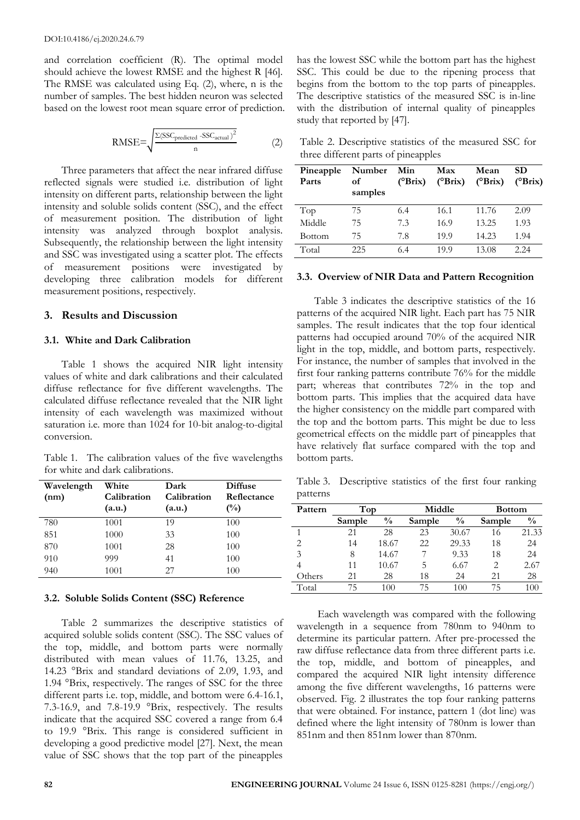and correlation coefficient (R). The optimal model should achieve the lowest RMSE and the highest R [46]. The RMSE was calculated using Eq. (2), where, n is the number of samples. The best hidden neuron was selected based on the lowest root mean square error of prediction.

$$
RMSE = \sqrt{\frac{\Sigma (SSC_{predicted} - SSC_{actual})^2}{n}}
$$
 (2)

Three parameters that affect the near infrared diffuse reflected signals were studied i.e. distribution of light intensity on different parts, relationship between the light intensity and soluble solids content (SSC), and the effect of measurement position. The distribution of light intensity was analyzed through boxplot analysis. Subsequently, the relationship between the light intensity and SSC was investigated using a scatter plot. The effects of measurement positions were investigated by developing three calibration models for different measurement positions, respectively.

# **3. Results and Discussion**

#### **3.1. White and Dark Calibration**

Table 1 shows the acquired NIR light intensity values of white and dark calibrations and their calculated diffuse reflectance for five different wavelengths. The calculated diffuse reflectance revealed that the NIR light intensity of each wavelength was maximized without saturation i.e. more than 1024 for 10-bit analog-to-digital conversion.

Table 1. The calibration values of the five wavelengths for white and dark calibrations.

| Wavelength | White       | Dark        | <b>Diffuse</b> |
|------------|-------------|-------------|----------------|
| (nm)       | Calibration | Calibration | Reflectance    |
|            | (a.u.)      | (a.u.)      | $\binom{0}{0}$ |
| 780        | 1001        | 19          | 100            |
| 851        | 1000        | 33          | 100            |
| 870        | 1001        | 28          | 100            |
| 910        | 999         | 41          | 100            |
| 940        | 1001        | 27          | 100            |

#### **3.2. Soluble Solids Content (SSC) Reference**

Table 2 summarizes the descriptive statistics of acquired soluble solids content (SSC). The SSC values of the top, middle, and bottom parts were normally distributed with mean values of 11.76, 13.25, and 14.23 °Brix and standard deviations of 2.09, 1.93, and 1.94 °Brix, respectively. The ranges of SSC for the three different parts i.e. top, middle, and bottom were 6.4-16.1, 7.3-16.9, and 7.8-19.9 °Brix, respectively. The results indicate that the acquired SSC covered a range from 6.4 to 19.9 °Brix. This range is considered sufficient in developing a good predictive model [27]. Next, the mean value of SSC shows that the top part of the pineapples

has the lowest SSC while the bottom part has the highest SSC. This could be due to the ripening process that begins from the bottom to the top parts of pineapples. The descriptive statistics of the measured SSC is in-line with the distribution of internal quality of pineapples study that reported by [47].

Table 2. Descriptive statistics of the measured SSC for three different parts of pineapples

| Pineapple<br>Parts | Number<br>оf<br>samples | Min<br>$(^{\circ}Brix)$ | Max<br>$(^{\circ}Brix)$ | Mean<br>$(^{\circ}Brix)$ | <b>SD</b><br>$(^{\circ}Brix)$ |
|--------------------|-------------------------|-------------------------|-------------------------|--------------------------|-------------------------------|
| Top                | 75                      | 6.4                     | 16.1                    | 11.76                    | 2.09                          |
| Middle             | 75                      | 7.3                     | 16.9                    | 13.25                    | 1.93                          |
| Bottom             | 75                      | 7.8                     | 19.9                    | 14.23                    | 1.94                          |
| Total              | 225                     | 6.4                     | 19.9                    | 13.08                    | 2.24                          |

#### **3.3. Overview of NIR Data and Pattern Recognition**

Table 3 indicates the descriptive statistics of the 16 patterns of the acquired NIR light. Each part has 75 NIR samples. The result indicates that the top four identical patterns had occupied around 70% of the acquired NIR light in the top, middle, and bottom parts, respectively. For instance, the number of samples that involved in the first four ranking patterns contribute 76% for the middle part; whereas that contributes 72% in the top and bottom parts. This implies that the acquired data have the higher consistency on the middle part compared with the top and the bottom parts. This might be due to less geometrical effects on the middle part of pineapples that have relatively flat surface compared with the top and bottom parts.

Table 3. Descriptive statistics of the first four ranking patterns

| Pattern                       | Top    |               | Middle |               | <b>Bottom</b>  |               |
|-------------------------------|--------|---------------|--------|---------------|----------------|---------------|
|                               | Sample | $\frac{0}{0}$ | Sample | $\frac{0}{0}$ | Sample         | $\frac{0}{0}$ |
|                               | 21     | 28            | 23     | 30.67         | 16             | 21.33         |
| $\mathfrak{D}_{\mathfrak{p}}$ | 14     | 18.67         | 22     | 29.33         | 18             | 24            |
| 3                             | 8      | 14.67         |        | 9.33          | 18             | 24            |
|                               | 11     | 10.67         | 5      | 6.67          | $\mathfrak{D}$ | 2.67          |
| Others                        | 21     | 28            | 18     | 24            | 21             | 28            |
| Total                         | 75     | 100           | 75     | 100           | 75             |               |

Each wavelength was compared with the following wavelength in a sequence from 780nm to 940nm to determine its particular pattern. After pre-processed the raw diffuse reflectance data from three different parts i.e. the top, middle, and bottom of pineapples, and compared the acquired NIR light intensity difference among the five different wavelengths, 16 patterns were observed. Fig. 2 illustrates the top four ranking patterns that were obtained. For instance, pattern 1 (dot line) was defined where the light intensity of 780nm is lower than 851nm and then 851nm lower than 870nm.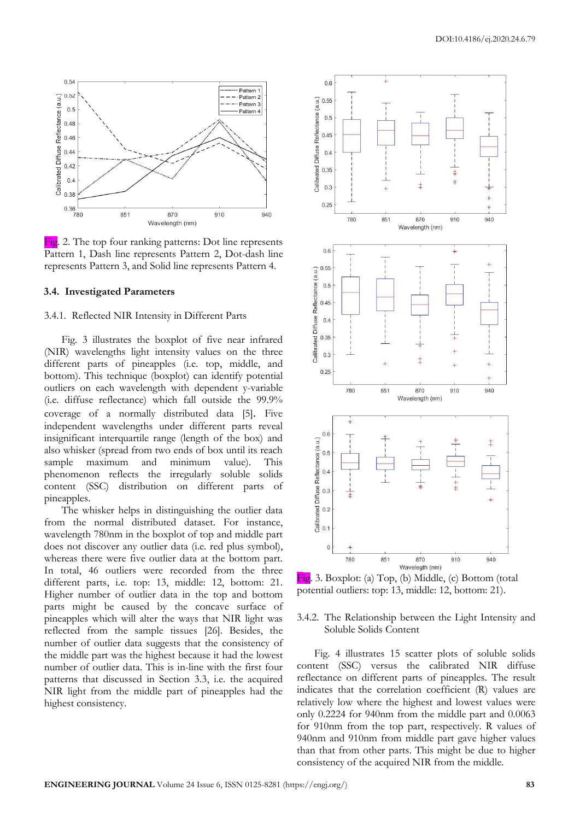

Fig. 2. The top four ranking patterns: Dot line represents Pattern 1, Dash line represents Pattern 2, Dot-dash line represents Pattern 3, and Solid line represents Pattern 4.

#### **3.4. Investigated Parameters**

#### 3.4.1. Reflected NIR Intensity in Different Parts

Fig. 3 illustrates the boxplot of five near infrared (NIR) wavelengths light intensity values on the three different parts of pineapples (i.e. top, middle, and bottom). This technique (boxplot) can identify potential outliers on each wavelength with dependent y-variable (i.e. diffuse reflectance) which fall outside the 99.9% coverage of a normally distributed data [5]. Five independent wavelengths under different parts reveal insignificant interquartile range (length of the box) and also whisker (spread from two ends of box until its reach sample maximum and minimum value). This phenomenon reflects the irregularly soluble solids content (SSC) distribution on different parts of pineapples.

The whisker helps in distinguishing the outlier data from the normal distributed dataset. For instance, wavelength 780nm in the boxplot of top and middle part does not discover any outlier data (i.e. red plus symbol), whereas there were five outlier data at the bottom part. In total, 46 outliers were recorded from the three different parts, i.e. top: 13, middle: 12, bottom: 21. Higher number of outlier data in the top and bottom parts might be caused by the concave surface of pineapples which will alter the ways that NIR light was reflected from the sample tissues [26]. Besides, the number of outlier data suggests that the consistency of the middle part was the highest because it had the lowest number of outlier data. This is in-line with the first four patterns that discussed in Section 3.3, i.e. the acquired NIR light from the middle part of pineapples had the highest consistency.



Fig. 3. Boxplot: (a) Top, (b) Middle, (c) Bottom (total potential outliers: top: 13, middle: 12, bottom: 21).

#### 3.4.2. The Relationship between the Light Intensity and Soluble Solids Content

Fig. 4 illustrates 15 scatter plots of soluble solids content (SSC) versus the calibrated NIR diffuse reflectance on different parts of pineapples. The result indicates that the correlation coefficient (R) values are relatively low where the highest and lowest values were only 0.2224 for 940nm from the middle part and 0.0063 for 910nm from the top part, respectively. R values of 940nm and 910nm from middle part gave higher values than that from other parts. This might be due to higher consistency of the acquired NIR from the middle.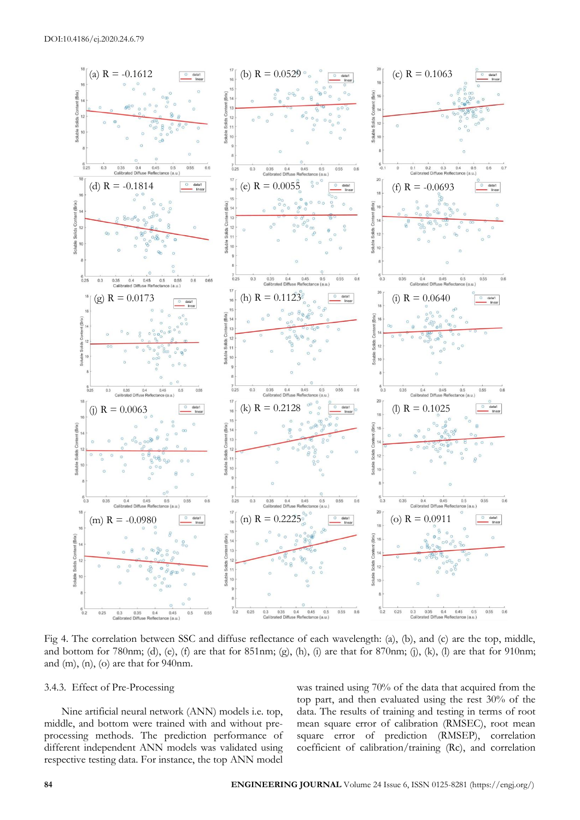

Fig 4. The correlation between SSC and diffuse reflectance of each wavelength: (a), (b), and (c) are the top, middle, and bottom for 780nm; (d), (e), (f) are that for 851nm; (g), (h), (i) are that for 870nm; (j), (k), (l) are that for 910nm; and (m), (n), (o) are that for 940nm.

## 3.4.3. Effect of Pre-Processing

Nine artificial neural network (ANN) models i.e. top, middle, and bottom were trained with and without preprocessing methods. The prediction performance of different independent ANN models was validated using respective testing data. For instance, the top ANN model was trained using 70% of the data that acquired from the top part, and then evaluated using the rest 30% of the data. The results of training and testing in terms of root mean square error of calibration (RMSEC), root mean square error of prediction (RMSEP), correlation coefficient of calibration/training (Rc), and correlation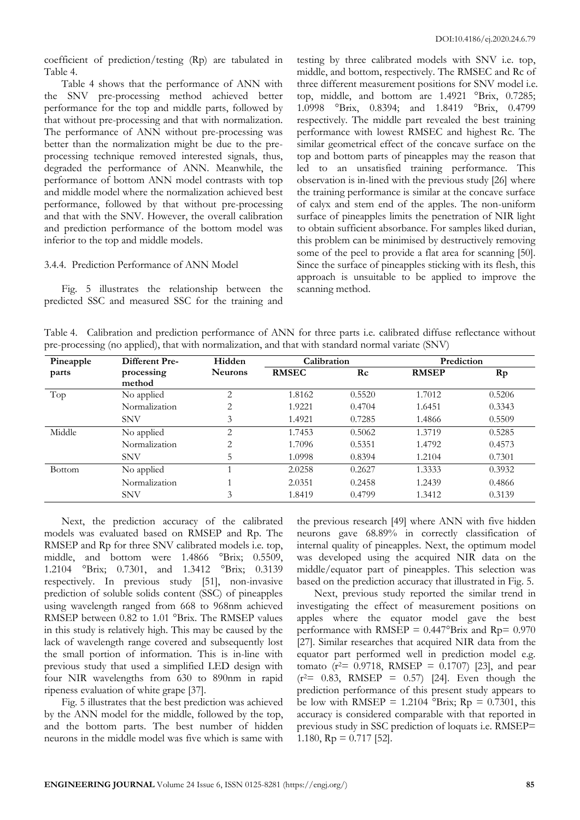coefficient of prediction/testing (Rp) are tabulated in Table 4.

Table 4 shows that the performance of ANN with the SNV pre-processing method achieved better performance for the top and middle parts, followed by that without pre-processing and that with normalization. The performance of ANN without pre-processing was better than the normalization might be due to the preprocessing technique removed interested signals, thus, degraded the performance of ANN. Meanwhile, the performance of bottom ANN model contrasts with top and middle model where the normalization achieved best performance, followed by that without pre-processing and that with the SNV. However, the overall calibration and prediction performance of the bottom model was inferior to the top and middle models.

#### 3.4.4. Prediction Performance of ANN Model

Fig. 5 illustrates the relationship between the predicted SSC and measured SSC for the training and

testing by three calibrated models with SNV i.e. top, middle, and bottom, respectively. The RMSEC and Rc of three different measurement positions for SNV model i.e. top, middle, and bottom are 1.4921 °Brix, 0.7285; 1.0998 °Brix, 0.8394; and 1.8419 °Brix, 0.4799 respectively. The middle part revealed the best training performance with lowest RMSEC and highest Rc. The similar geometrical effect of the concave surface on the top and bottom parts of pineapples may the reason that led to an unsatisfied training performance. This observation is in-lined with the previous study [26] where the training performance is similar at the concave surface of calyx and stem end of the apples. The non-uniform surface of pineapples limits the penetration of NIR light to obtain sufficient absorbance. For samples liked durian, this problem can be minimised by destructively removing some of the peel to provide a flat area for scanning [50]. Since the surface of pineapples sticking with its flesh, this approach is unsuitable to be applied to improve the scanning method.

Table 4. Calibration and prediction performance of ANN for three parts i.e. calibrated diffuse reflectance without pre-processing (no applied), that with normalization, and that with standard normal variate (SNV)

| Pineapple     | <b>Different Pre-</b> | Hidden         | Calibration  |           | Prediction   |        |
|---------------|-----------------------|----------------|--------------|-----------|--------------|--------|
| parts         | processing            | <b>Neurons</b> | <b>RMSEC</b> | $\rm\,Rc$ | <b>RMSEP</b> | Rp     |
|               | method                |                |              |           |              |        |
| Top           | No applied            | 2              | 1.8162       | 0.5520    | 1.7012       | 0.5206 |
|               | Normalization         | $\overline{2}$ | 1.9221       | 0.4704    | 1.6451       | 0.3343 |
|               | <b>SNV</b>            | 3              | 1.4921       | 0.7285    | 1.4866       | 0.5509 |
| Middle        | No applied            | $\overline{2}$ | 1.7453       | 0.5062    | 1.3719       | 0.5285 |
|               | Normalization         | $\overline{2}$ | 1.7096       | 0.5351    | 1.4792       | 0.4573 |
|               | <b>SNV</b>            | 5              | 1.0998       | 0.8394    | 1.2104       | 0.7301 |
| <b>Bottom</b> | No applied            |                | 2.0258       | 0.2627    | 1.3333       | 0.3932 |
|               | Normalization         |                | 2.0351       | 0.2458    | 1.2439       | 0.4866 |
|               | <b>SNV</b>            | 3              | 1.8419       | 0.4799    | 1.3412       | 0.3139 |

Next, the prediction accuracy of the calibrated models was evaluated based on RMSEP and Rp. The RMSEP and Rp for three SNV calibrated models i.e. top, middle, and bottom were 1.4866 °Brix; 0.5509, 1.2104 °Brix; 0.7301, and 1.3412 °Brix; 0.3139 respectively. In previous study [51], non-invasive prediction of soluble solids content (SSC) of pineapples using wavelength ranged from 668 to 968nm achieved RMSEP between 0.82 to 1.01 °Brix. The RMSEP values in this study is relatively high. This may be caused by the lack of wavelength range covered and subsequently lost the small portion of information. This is in-line with previous study that used a simplified LED design with four NIR wavelengths from 630 to 890nm in rapid ripeness evaluation of white grape [37].

Fig. 5 illustrates that the best prediction was achieved by the ANN model for the middle, followed by the top, and the bottom parts. The best number of hidden neurons in the middle model was five which is same with

the previous research [49] where ANN with five hidden neurons gave 68.89% in correctly classification of internal quality of pineapples. Next, the optimum model was developed using the acquired NIR data on the middle/equator part of pineapples. This selection was based on the prediction accuracy that illustrated in Fig. 5.

Next, previous study reported the similar trend in investigating the effect of measurement positions on apples where the equator model gave the best performance with RMSEP =  $0.447^{\circ}$ Brix and Rp=  $0.970$ [27]. Similar researches that acquired NIR data from the equator part performed well in prediction model e.g. tomato ( $r^2$  = 0.9718, RMSEP = 0.1707) [23], and pear  $(r^2= 0.83, RMSEP = 0.57)$  [24]. Even though the prediction performance of this present study appears to be low with RMSEP = 1.2104  $\textdegree$ Brix; Rp = 0.7301, this accuracy is considered comparable with that reported in previous study in SSC prediction of loquats i.e. RMSEP= 1.180,  $Rp = 0.717$  [52].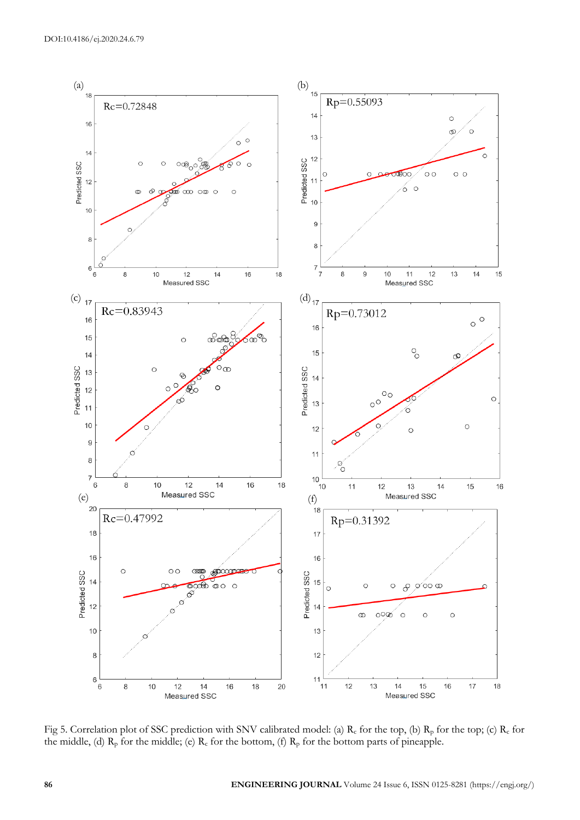

Fig 5. Correlation plot of SSC prediction with SNV calibrated model: (a)  $R_c$  for the top, (b)  $R_p$  for the top; (c)  $R_c$  for the middle, (d)  $R_p$  for the middle; (e)  $R_c$  for the bottom, (f)  $R_p$  for the bottom parts of pineapple.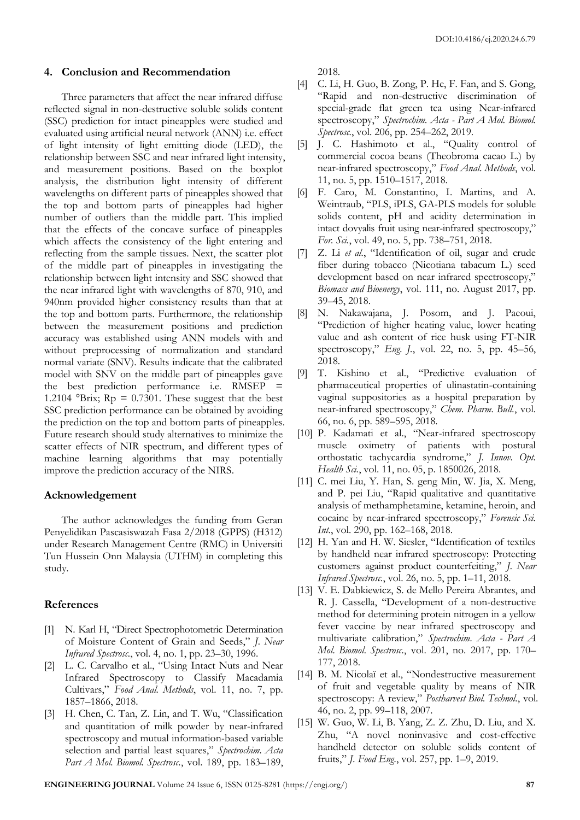#### **4. Conclusion and Recommendation**

Three parameters that affect the near infrared diffuse reflected signal in non-destructive soluble solids content (SSC) prediction for intact pineapples were studied and evaluated using artificial neural network (ANN) i.e. effect of light intensity of light emitting diode (LED), the relationship between SSC and near infrared light intensity, and measurement positions. Based on the boxplot analysis, the distribution light intensity of different wavelengths on different parts of pineapples showed that the top and bottom parts of pineapples had higher number of outliers than the middle part. This implied that the effects of the concave surface of pineapples which affects the consistency of the light entering and reflecting from the sample tissues. Next, the scatter plot of the middle part of pineapples in investigating the relationship between light intensity and SSC showed that the near infrared light with wavelengths of 870, 910, and 940nm provided higher consistency results than that at the top and bottom parts. Furthermore, the relationship between the measurement positions and prediction accuracy was established using ANN models with and without preprocessing of normalization and standard normal variate (SNV). Results indicate that the calibrated model with SNV on the middle part of pineapples gave the best prediction performance i.e. RMSEP = 1.2104 °Brix;  $Rp = 0.7301$ . These suggest that the best SSC prediction performance can be obtained by avoiding the prediction on the top and bottom parts of pineapples. Future research should study alternatives to minimize the scatter effects of NIR spectrum, and different types of machine learning algorithms that may potentially improve the prediction accuracy of the NIRS.

#### **Acknowledgement**

The author acknowledges the funding from Geran Penyelidikan Pascasiswazah Fasa 2/2018 (GPPS) (H312) under Research Management Centre (RMC) in Universiti Tun Hussein Onn Malaysia (UTHM) in completing this study.

# **References**

- [1] N. Karl H, "Direct Spectrophotometric Determination of Moisture Content of Grain and Seeds," *J. Near Infrared Spectrosc.*, vol. 4, no. 1, pp. 23–30, 1996.
- [2] L. C. Carvalho et al., "Using Intact Nuts and Near Infrared Spectroscopy to Classify Macadamia Cultivars," *Food Anal. Methods*, vol. 11, no. 7, pp. 1857–1866, 2018.
- [3] H. Chen, C. Tan, Z. Lin, and T. Wu, "Classification and quantitation of milk powder by near-infrared spectroscopy and mutual information-based variable selection and partial least squares," *Spectrochim. Acta Part A Mol. Biomol. Spectrosc.*, vol. 189, pp. 183–189,

2018.

- [4] C. Li, H. Guo, B. Zong, P. He, F. Fan, and S. Gong, "Rapid and non-destructive discrimination of special-grade flat green tea using Near-infrared spectroscopy," *Spectrochim. Acta - Part A Mol. Biomol. Spectrosc.*, vol. 206, pp. 254–262, 2019.
- [5] J. C. Hashimoto et al., "Quality control of commercial cocoa beans (Theobroma cacao L.) by near-infrared spectroscopy," *Food Anal. Methods*, vol. 11, no. 5, pp. 1510–1517, 2018.
- [6] F. Caro, M. Constantino, I. Martins, and A. Weintraub, "PLS, iPLS, GA-PLS models for soluble solids content, pH and acidity determination in intact dovyalis fruit using near-infrared spectroscopy," *For. Sci.*, vol. 49, no. 5, pp. 738–751, 2018.
- [7] Z. Li *et al.*, "Identification of oil, sugar and crude fiber during tobacco (Nicotiana tabacum L.) seed development based on near infrared spectroscopy," *Biomass and Bioenergy*, vol. 111, no. August 2017, pp. 39–45, 2018.
- [8] N. Nakawajana, J. Posom, and J. Paeoui, "Prediction of higher heating value, lower heating value and ash content of rice husk using FT-NIR spectroscopy," *Eng. J.*, vol. 22, no. 5, pp. 45–56, 2018.
- [9] T. Kishino et al., "Predictive evaluation of pharmaceutical properties of ulinastatin-containing vaginal suppositories as a hospital preparation by near-infrared spectroscopy," *Chem. Pharm. Bull.*, vol. 66, no. 6, pp. 589–595, 2018.
- [10] P. Kadamati et al., "Near-infrared spectroscopy muscle oximetry of patients with postural orthostatic tachycardia syndrome," *J. Innov. Opt. Health Sci.*, vol. 11, no. 05, p. 1850026, 2018.
- [11] C. mei Liu, Y. Han, S. geng Min, W. Jia, X. Meng, and P. pei Liu, "Rapid qualitative and quantitative analysis of methamphetamine, ketamine, heroin, and cocaine by near-infrared spectroscopy," *Forensic Sci. Int.*, vol. 290, pp. 162–168, 2018.
- [12] H. Yan and H. W. Siesler, "Identification of textiles by handheld near infrared spectroscopy: Protecting customers against product counterfeiting," *J. Near Infrared Spectrosc.*, vol. 26, no. 5, pp. 1–11, 2018.
- [13] V. E. Dabkiewicz, S. de Mello Pereira Abrantes, and R. J. Cassella, "Development of a non-destructive method for determining protein nitrogen in a yellow fever vaccine by near infrared spectroscopy and multivariate calibration," *Spectrochim. Acta - Part A Mol. Biomol. Spectrosc.*, vol. 201, no. 2017, pp. 170– 177, 2018.
- [14] B. M. Nicolaï et al., "Nondestructive measurement of fruit and vegetable quality by means of NIR spectroscopy: A review," *Postharvest Biol. Technol.*, vol. 46, no. 2, pp. 99–118, 2007.
- [15] W. Guo, W. Li, B. Yang, Z. Z. Zhu, D. Liu, and X. Zhu, "A novel noninvasive and cost-effective handheld detector on soluble solids content of fruits," *J. Food Eng.*, vol. 257, pp. 1–9, 2019.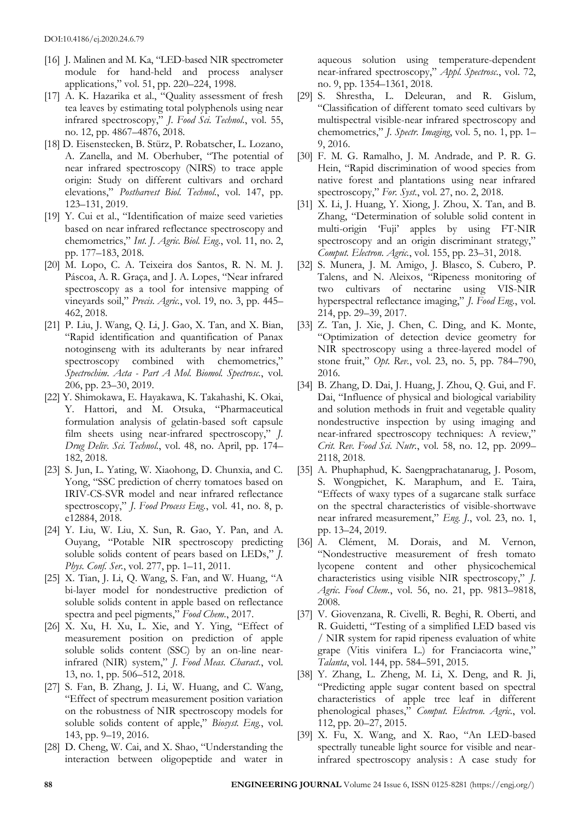- [16] J. Malinen and M. Ka, "LED-based NIR spectrometer module for hand-held and process analyser applications," vol. 51, pp. 220–224, 1998.
- [17] A. K. Hazarika et al., "Quality assessment of fresh tea leaves by estimating total polyphenols using near infrared spectroscopy," *J. Food Sci. Technol.*, vol. 55, no. 12, pp. 4867–4876, 2018.
- [18] D. Eisenstecken, B. Stürz, P. Robatscher, L. Lozano, A. Zanella, and M. Oberhuber, "The potential of near infrared spectroscopy (NIRS) to trace apple origin: Study on different cultivars and orchard elevations," *Postharvest Biol. Technol.*, vol. 147, pp. 123–131, 2019.
- [19] Y. Cui et al., "Identification of maize seed varieties based on near infrared reflectance spectroscopy and chemometrics," *Int. J. Agric. Biol. Eng.*, vol. 11, no. 2, pp. 177–183, 2018.
- [20] M. Lopo, C. A. Teixeira dos Santos, R. N. M. J. Páscoa, A. R. Graça, and J. A. Lopes, "Near infrared spectroscopy as a tool for intensive mapping of vineyards soil," *Precis. Agric.*, vol. 19, no. 3, pp. 445– 462, 2018.
- [21] P. Liu, J. Wang, Q. Li, J. Gao, X. Tan, and X. Bian, "Rapid identification and quantification of Panax notoginseng with its adulterants by near infrared spectroscopy combined with chemometrics," *Spectrochim. Acta - Part A Mol. Biomol. Spectrosc.*, vol. 206, pp. 23–30, 2019.
- [22] Y. Shimokawa, E. Hayakawa, K. Takahashi, K. Okai, Y. Hattori, and M. Otsuka, "Pharmaceutical formulation analysis of gelatin-based soft capsule film sheets using near-infrared spectroscopy," *J. Drug Deliv. Sci. Technol.*, vol. 48, no. April, pp. 174– 182, 2018.
- [23] S. Jun, L. Yating, W. Xiaohong, D. Chunxia, and C. Yong, "SSC prediction of cherry tomatoes based on IRIV-CS-SVR model and near infrared reflectance spectroscopy," *J. Food Process Eng.*, vol. 41, no. 8, p. e12884, 2018.
- [24] Y. Liu, W. Liu, X. Sun, R. Gao, Y. Pan, and A. Ouyang, "Potable NIR spectroscopy predicting soluble solids content of pears based on LEDs," *J. Phys. Conf. Ser.*, vol. 277, pp. 1–11, 2011.
- [25] X. Tian, J. Li, Q. Wang, S. Fan, and W. Huang, "A bi-layer model for nondestructive prediction of soluble solids content in apple based on reflectance spectra and peel pigments," *Food Chem.*, 2017.
- [26] X. Xu, H. Xu, L. Xie, and Y. Ying, "Effect of measurement position on prediction of apple soluble solids content (SSC) by an on-line nearinfrared (NIR) system," *J. Food Meas. Charact.*, vol. 13, no. 1, pp. 506–512, 2018.
- [27] S. Fan, B. Zhang, J. Li, W. Huang, and C. Wang, "Effect of spectrum measurement position variation on the robustness of NIR spectroscopy models for soluble solids content of apple," *Biosyst. Eng.*, vol. 143, pp. 9–19, 2016.
- [28] D. Cheng, W. Cai, and X. Shao, "Understanding the interaction between oligopeptide and water in

aqueous solution using temperature-dependent near-infrared spectroscopy," *Appl. Spectrosc.*, vol. 72, no. 9, pp. 1354–1361, 2018.

- [29] S. Shrestha, L. Deleuran, and R. Gislum, "Classification of different tomato seed cultivars by multispectral visible-near infrared spectroscopy and chemometrics," *J. Spectr. Imaging*, vol. 5, no. 1, pp. 1– 9, 2016.
- [30] F. M. G. Ramalho, J. M. Andrade, and P. R. G. Hein, "Rapid discrimination of wood species from native forest and plantations using near infrared spectroscopy," *For. Syst.*, vol. 27, no. 2, 2018.
- [31] X. Li, J. Huang, Y. Xiong, J. Zhou, X. Tan, and B. Zhang, "Determination of soluble solid content in multi-origin 'Fuji' apples by using FT-NIR spectroscopy and an origin discriminant strategy," *Comput. Electron. Agric.*, vol. 155, pp. 23–31, 2018.
- [32] S. Munera, J. M. Amigo, J. Blasco, S. Cubero, P. Talens, and N. Aleixos, "Ripeness monitoring of two cultivars of nectarine using VIS-NIR hyperspectral reflectance imaging," *J. Food Eng.*, vol. 214, pp. 29–39, 2017.
- [33] Z. Tan, J. Xie, J. Chen, C. Ding, and K. Monte, "Optimization of detection device geometry for NIR spectroscopy using a three-layered model of stone fruit," *Opt. Rev.*, vol. 23, no. 5, pp. 784–790, 2016.
- [34] B. Zhang, D. Dai, J. Huang, J. Zhou, Q. Gui, and F. Dai, "Influence of physical and biological variability and solution methods in fruit and vegetable quality nondestructive inspection by using imaging and near-infrared spectroscopy techniques: A review," *Crit. Rev. Food Sci. Nutr.*, vol. 58, no. 12, pp. 2099– 2118, 2018.
- [35] A. Phuphaphud, K. Saengprachatanarug, J. Posom, S. Wongpichet, K. Maraphum, and E. Taira, "Effects of waxy types of a sugarcane stalk surface on the spectral characteristics of visible-shortwave near infrared measurement," *Eng. J.*, vol. 23, no. 1, pp. 13–24, 2019.
- [36] A. Clément, M. Dorais, and M. Vernon, "Nondestructive measurement of fresh tomato lycopene content and other physicochemical characteristics using visible NIR spectroscopy," *J. Agric. Food Chem.*, vol. 56, no. 21, pp. 9813–9818, 2008.
- [37] V. Giovenzana, R. Civelli, R. Beghi, R. Oberti, and R. Guidetti, "Testing of a simplified LED based vis / NIR system for rapid ripeness evaluation of white grape (Vitis vinifera L.) for Franciacorta wine," *Talanta*, vol. 144, pp. 584–591, 2015.
- [38] Y. Zhang, L. Zheng, M. Li, X. Deng, and R. Ji, "Predicting apple sugar content based on spectral characteristics of apple tree leaf in different phenological phases," *Comput. Electron. Agric.*, vol. 112, pp. 20–27, 2015.
- [39] X. Fu, X. Wang, and X. Rao, "An LED-based spectrally tuneable light source for visible and nearinfrared spectroscopy analysis : A case study for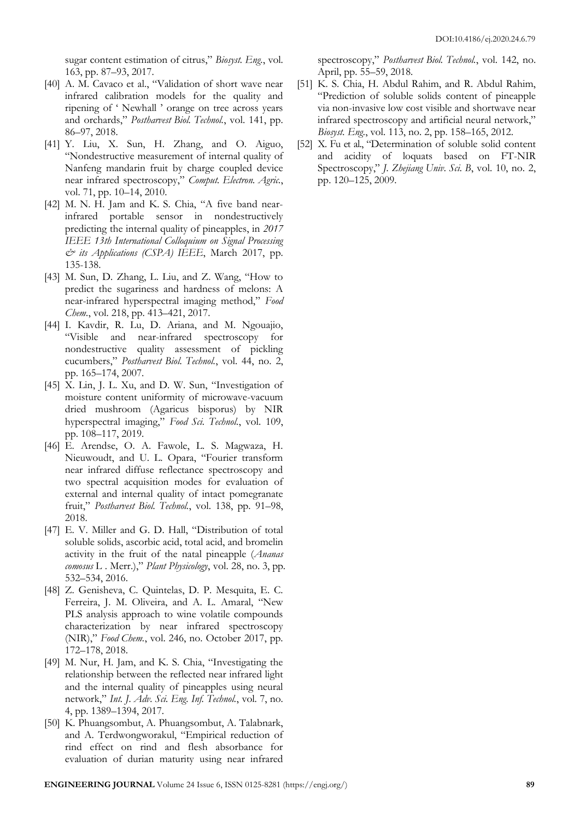sugar content estimation of citrus," *Biosyst. Eng.*, vol. 163, pp. 87–93, 2017.

- [40] A. M. Cavaco et al., "Validation of short wave near infrared calibration models for the quality and ripening of ' Newhall ' orange on tree across years and orchards," *Postharvest Biol. Technol.*, vol. 141, pp. 86–97, 2018.
- [41] Y. Liu, X. Sun, H. Zhang, and O. Aiguo, "Nondestructive measurement of internal quality of Nanfeng mandarin fruit by charge coupled device near infrared spectroscopy," *Comput. Electron. Agric.*, vol. 71, pp. 10–14, 2010.
- [42] M. N. H. Jam and K. S. Chia, "A five band nearinfrared portable sensor in nondestructively predicting the internal quality of pineapples, in *2017 IEEE 13th International Colloquium on Signal Processing & its Applications (CSPA) IEEE*, March 2017, pp. 135-138.
- [43] M. Sun, D. Zhang, L. Liu, and Z. Wang, "How to predict the sugariness and hardness of melons: A near-infrared hyperspectral imaging method," *Food Chem.*, vol. 218, pp. 413–421, 2017.
- [44] I. Kavdir, R. Lu, D. Ariana, and M. Ngouajio, "Visible and near-infrared spectroscopy for nondestructive quality assessment of pickling cucumbers," *Postharvest Biol. Technol.*, vol. 44, no. 2, pp. 165–174, 2007.
- [45] X. Lin, J. L. Xu, and D. W. Sun, "Investigation of moisture content uniformity of microwave-vacuum dried mushroom (Agaricus bisporus) by NIR hyperspectral imaging," *Food Sci. Technol.*, vol. 109, pp. 108–117, 2019.
- [46] E. Arendse, O. A. Fawole, L. S. Magwaza, H. Nieuwoudt, and U. L. Opara, "Fourier transform near infrared diffuse reflectance spectroscopy and two spectral acquisition modes for evaluation of external and internal quality of intact pomegranate fruit," *Postharvest Biol. Technol.*, vol. 138, pp. 91–98, 2018.
- [47] E. V. Miller and G. D. Hall, "Distribution of total soluble solids, ascorbic acid, total acid, and bromelin activity in the fruit of the natal pineapple (*Ananas comosus* L . Merr.)," *Plant Physicology*, vol. 28, no. 3, pp. 532–534, 2016.
- [48] Z. Genisheva, C. Quintelas, D. P. Mesquita, E. C. Ferreira, J. M. Oliveira, and A. L. Amaral, "New PLS analysis approach to wine volatile compounds characterization by near infrared spectroscopy (NIR)," *Food Chem.*, vol. 246, no. October 2017, pp. 172–178, 2018.
- [49] M. Nur, H. Jam, and K. S. Chia, "Investigating the relationship between the reflected near infrared light and the internal quality of pineapples using neural network," *Int. J. Adv. Sci. Eng. Inf. Technol.*, vol. 7, no. 4, pp. 1389–1394, 2017.
- [50] K. Phuangsombut, A. Phuangsombut, A. Talabnark, and A. Terdwongworakul, "Empirical reduction of rind effect on rind and flesh absorbance for evaluation of durian maturity using near infrared

spectroscopy," *Postharvest Biol. Technol.*, vol. 142, no. April, pp. 55–59, 2018.

- [51] K. S. Chia, H. Abdul Rahim, and R. Abdul Rahim, "Prediction of soluble solids content of pineapple via non-invasive low cost visible and shortwave near infrared spectroscopy and artificial neural network," *Biosyst. Eng.*, vol. 113, no. 2, pp. 158–165, 2012.
- [52] X. Fu et al., "Determination of soluble solid content and acidity of loquats based on FT-NIR Spectroscopy," *J. Zhejiang Univ. Sci. B*, vol. 10, no. 2, pp. 120–125, 2009.